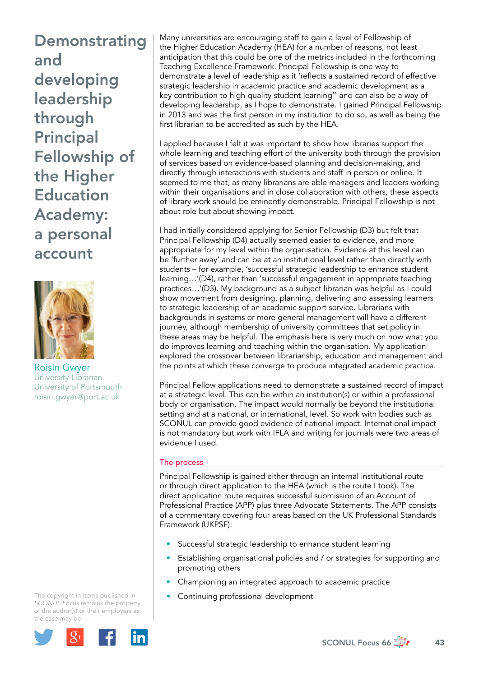Demonstrating and developing leadership through Principal Fellowship of the Higher **Education** Academy: a personal account



Roisin Gwyer University Librarian University of Portsmouth [roisin.gwyer@port.ac.uk](mailto:roisin.gwyer@port.ac.uk)

The copyright in items published in *SCONUL Focus* remains the property of the author(s) or their employers as the case may be.



Many universities are encouraging staff to gain a level of Fellowship of the Higher Education Academy (HEA) for a number of reasons, not least anticipation that this could be one of the metrics included in the forthcoming Teaching Excellence Framework. Principal Fellowship is one way to demonstrate a level of leadership as it 'reflects a sustained record of effective strategic leadership in academic practice and academic development as a key contribution to high quality student learning'1 and can also be a way of developing leadership, as I hope to demonstrate. I gained Principal Fellowship in 2013 and was the first person in my institution to do so, as well as being the first librarian to be accredited as such by the HEA.

I applied because I felt it was important to show how libraries support the whole learning and teaching effort of the university both through the provision of services based on evidence-based planning and decision-making, and directly through interactions with students and staff in person or online. It seemed to me that, as many librarians are able managers and leaders working within their organisations and in close collaboration with others, these aspects of library work should be eminently demonstrable. Principal Fellowship is not about role but about showing impact.

I had initially considered applying for Senior Fellowship (D3) but felt that Principal Fellowship (D4) actually seemed easier to evidence, and more appropriate for my level within the organisation. Evidence at this level can be 'further away' and can be at an institutional level rather than directly with students – for example, 'successful strategic leadership to enhance student learning…'(D4), rather than 'successful engagement in appropriate teaching practices…'(D3). My background as a subject librarian was helpful as I could show movement from designing, planning, delivering and assessing learners to strategic leadership of an academic support service. Librarians with backgrounds in systems or more general management will have a different journey, although membership of university committees that set policy in these areas may be helpful. The emphasis here is very much on how what you do improves learning and teaching within the organisation. My application explored the crossover between librarianship, education and management and the points at which these converge to produce integrated academic practice.

Principal Fellow applications need to demonstrate a sustained record of impact at a strategic level. This can be within an institution(s) or within a professional body or organisation. The impact would normally be beyond the institutional setting and at a national, or international, level. So work with bodies such as SCONUL can provide good evidence of national impact. International impact is not mandatory but work with IFLA and writing for journals were two areas of evidence I used.

## The process

Principal Fellowship is gained either through an internal institutional route or through direct application to the HEA (which is the route I took). The direct application route requires successful submission of an Account of Professional Practice (APP) plus three Advocate Statements. The APP consists of a commentary covering four areas based on the UK Professional Standards Framework (UKPSF):

- Successful strategic leadership to enhance student learning
- Establishing organisational policies and / or strategies for supporting and promoting others
- Championing an integrated approach to academic practice
- Continuing professional development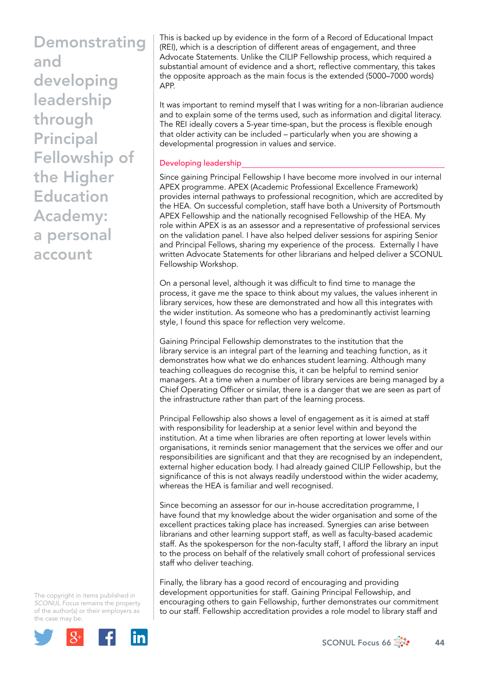**Demonstrating** and developing leadership through Principal Fellowship of the Higher Education Academy: a personal account

This is backed up by evidence in the form of a Record of Educational Impact (REI), which is a description of different areas of engagement, and three Advocate Statements. Unlike the CILIP Fellowship process, which required a substantial amount of evidence and a short, reflective commentary, this takes the opposite approach as the main focus is the extended (5000–7000 words) APP.

It was important to remind myself that I was writing for a non-librarian audience and to explain some of the terms used, such as information and digital literacy. The REI ideally covers a 5-year time-span, but the process is flexible enough that older activity can be included – particularly when you are showing a developmental progression in values and service.

## Developing leadership

Since gaining Principal Fellowship I have become more involved in our internal APEX programme. APEX (Academic Professional Excellence Framework) provides internal pathways to professional recognition, which are accredited by the HEA. On successful completion, staff have both a University of Portsmouth APEX Fellowship and the nationally recognised Fellowship of the HEA. My role within APEX is as an assessor and a representative of professional services on the validation panel. I have also helped deliver sessions for aspiring Senior and Principal Fellows, sharing my experience of the process. Externally I have written Advocate Statements for other librarians and helped deliver a SCONUL Fellowship Workshop.

On a personal level, although it was difficult to find time to manage the process, it gave me the space to think about my values, the values inherent in library services, how these are demonstrated and how all this integrates with the wider institution. As someone who has a predominantly activist learning style, I found this space for reflection very welcome.

Gaining Principal Fellowship demonstrates to the institution that the library service is an integral part of the learning and teaching function, as it demonstrates how what we do enhances student learning. Although many teaching colleagues do recognise this, it can be helpful to remind senior managers. At a time when a number of library services are being managed by a Chief Operating Officer or similar, there is a danger that we are seen as part of the infrastructure rather than part of the learning process.

Principal Fellowship also shows a level of engagement as it is aimed at staff with responsibility for leadership at a senior level within and beyond the institution. At a time when libraries are often reporting at lower levels within organisations, it reminds senior management that the services we offer and our responsibilities are significant and that they are recognised by an independent, external higher education body. I had already gained CILIP Fellowship, but the significance of this is not always readily understood within the wider academy, whereas the HEA is familiar and well recognised.

Since becoming an assessor for our in-house accreditation programme, I have found that my knowledge about the wider organisation and some of the excellent practices taking place has increased. Synergies can arise between librarians and other learning support staff, as well as faculty-based academic staff. As the spokesperson for the non-faculty staff, I afford the library an input to the process on behalf of the relatively small cohort of professional services staff who deliver teaching.

Finally, the library has a good record of encouraging and providing development opportunities for staff. Gaining Principal Fellowship, and encouraging others to gain Fellowship, further demonstrates our commitment to our staff. Fellowship accreditation provides a role model to library staff and

The copyright in items published in *SCONUL Focus* remains the property of the author(s) or their employers as the case may be.



SCONUL Focus 66  $\frac{4}{300}$  44